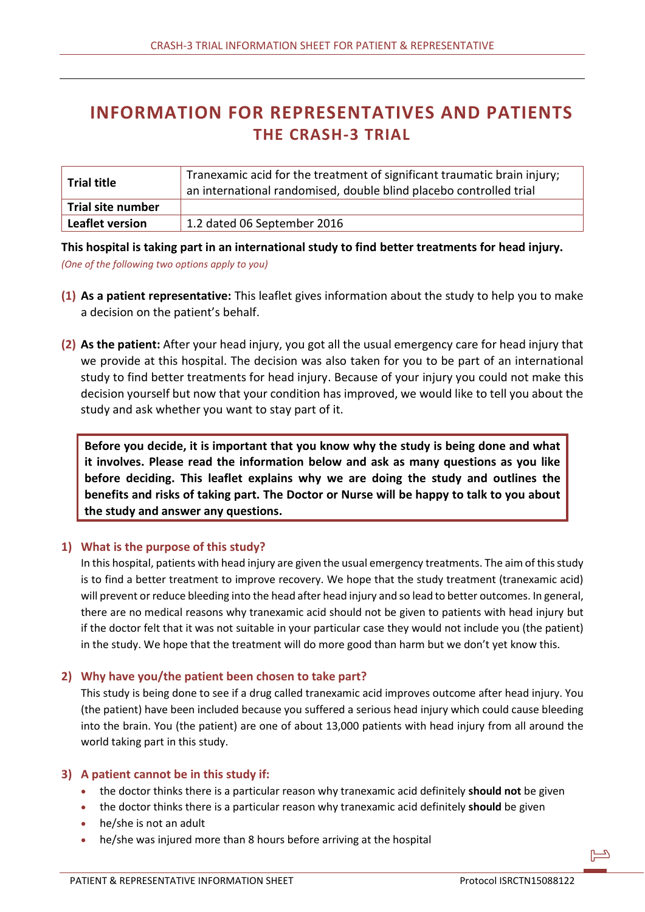# **INFORMATION FOR REPRESENTATIVES AND PATIENTS THE CRASH-3 TRIAL**

| <b>Trial title</b>     | Tranexamic acid for the treatment of significant traumatic brain injury;<br>an international randomised, double blind placebo controlled trial |
|------------------------|------------------------------------------------------------------------------------------------------------------------------------------------|
| Trial site number      |                                                                                                                                                |
| <b>Leaflet version</b> | $1.2$ dated 06 September 2016                                                                                                                  |

**This hospital is taking part in an international study to find better treatments for head injury.**  *(One of the following two options apply to you)*

- **(1) As a patient representative:** This leaflet gives information about the study to help you to make a decision on the patient's behalf.
- **(2) As the patient:** After your head injury, you got all the usual emergency care for head injury that we provide at this hospital. The decision was also taken for you to be part of an international study to find better treatments for head injury. Because of your injury you could not make this decision yourself but now that your condition has improved, we would like to tell you about the study and ask whether you want to stay part of it.

**Before you decide, it is important that you know why the study is being done and what it involves. Please read the information below and ask as many questions as you like before deciding. This leaflet explains why we are doing the study and outlines the benefits and risks of taking part. The Doctor or Nurse will be happy to talk to you about the study and answer any questions.**

# **1) What is the purpose of this study?**

In this hospital, patients with head injury are given the usual emergency treatments. The aim of this study is to find a better treatment to improve recovery. We hope that the study treatment (tranexamic acid) will prevent or reduce bleeding into the head after head injury and so lead to better outcomes. In general, there are no medical reasons why tranexamic acid should not be given to patients with head injury but if the doctor felt that it was not suitable in your particular case they would not include you (the patient) in the study. We hope that the treatment will do more good than harm but we don't yet know this.

#### **2) Why have you/the patient been chosen to take part?**

This study is being done to see if a drug called tranexamic acid improves outcome after head injury. You (the patient) have been included because you suffered a serious head injury which could cause bleeding into the brain. You (the patient) are one of about 13,000 patients with head injury from all around the world taking part in this study.

#### **3) A patient cannot be in this study if:**

- the doctor thinks there is a particular reason why tranexamic acid definitely **should not** be given
- the doctor thinks there is a particular reason why tranexamic acid definitely **should** be given
- he/she is not an adult
- he/she was injured more than 8 hours before arriving at the hospital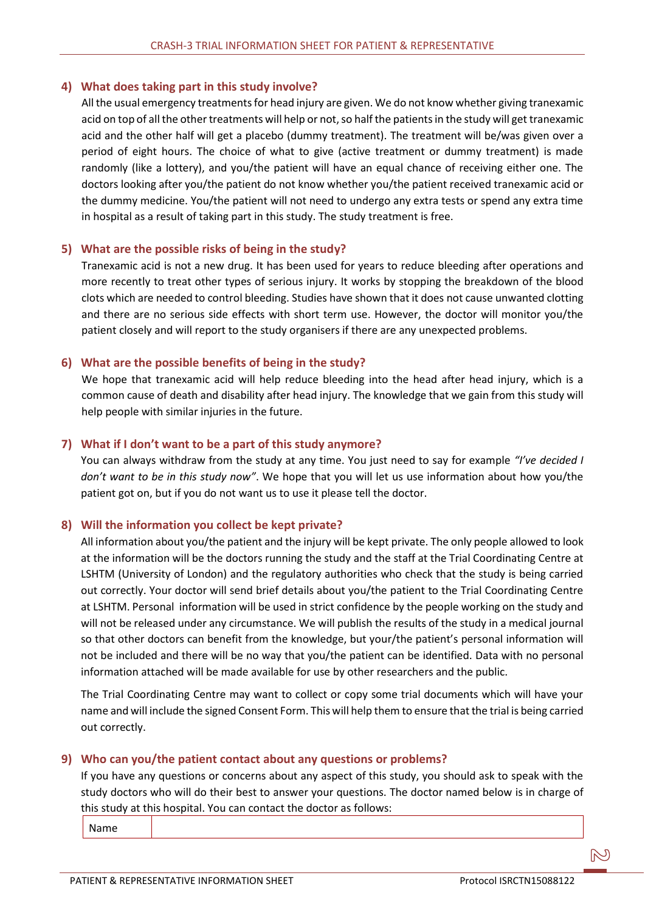## **4) What does taking part in this study involve?**

All the usual emergency treatments for head injury are given. We do not know whether giving tranexamic acid on top of all the other treatments will help or not, so half the patients in the study will get tranexamic acid and the other half will get a placebo (dummy treatment). The treatment will be/was given over a period of eight hours. The choice of what to give (active treatment or dummy treatment) is made randomly (like a lottery), and you/the patient will have an equal chance of receiving either one. The doctors looking after you/the patient do not know whether you/the patient received tranexamic acid or the dummy medicine. You/the patient will not need to undergo any extra tests or spend any extra time in hospital as a result of taking part in this study. The study treatment is free.

#### **5) What are the possible risks of being in the study?**

Tranexamic acid is not a new drug. It has been used for years to reduce bleeding after operations and more recently to treat other types of serious injury. It works by stopping the breakdown of the blood clots which are needed to control bleeding. Studies have shown that it does not cause unwanted clotting and there are no serious side effects with short term use. However, the doctor will monitor you/the patient closely and will report to the study organisers if there are any unexpected problems.

## **6) What are the possible benefits of being in the study?**

We hope that tranexamic acid will help reduce bleeding into the head after head injury, which is a common cause of death and disability after head injury. The knowledge that we gain from this study will help people with similar injuries in the future.

## **7) What if I don't want to be a part of this study anymore?**

You can always withdraw from the study at any time. You just need to say for example *"I've decided I don't want to be in this study now"*. We hope that you will let us use information about how you/the patient got on, but if you do not want us to use it please tell the doctor.

# **8) Will the information you collect be kept private?**

All information about you/the patient and the injury will be kept private. The only people allowed to look at the information will be the doctors running the study and the staff at the Trial Coordinating Centre at LSHTM (University of London) and the regulatory authorities who check that the study is being carried out correctly. Your doctor will send brief details about you/the patient to the Trial Coordinating Centre at LSHTM. Personal information will be used in strict confidence by the people working on the study and will not be released under any circumstance. We will publish the results of the study in a medical journal so that other doctors can benefit from the knowledge, but your/the patient's personal information will not be included and there will be no way that you/the patient can be identified. Data with no personal information attached will be made available for use by other researchers and the public.

The Trial Coordinating Centre may want to collect or copy some trial documents which will have your name and will include the signed Consent Form. This will help them to ensure that the trial is being carried out correctly.

## **9) Who can you/the patient contact about any questions or problems?**

If you have any questions or concerns about any aspect of this study, you should ask to speak with the study doctors who will do their best to answer your questions. The doctor named below is in charge of this study at this hospital. You can contact the doctor as follows:

Name